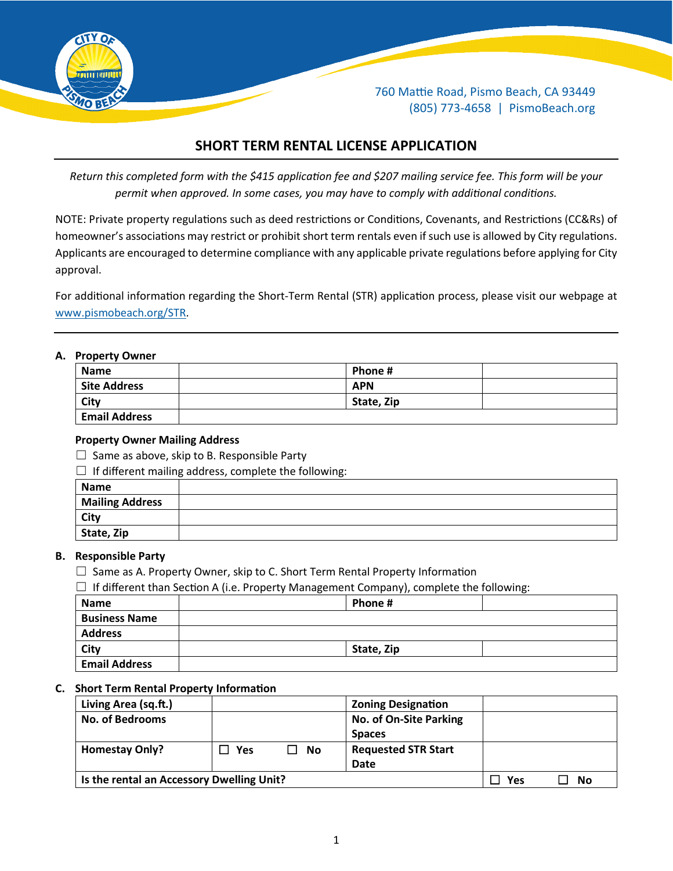

760 Mattie Road, Pismo Beach, CA 93449 (805) 773-4658 | PismoBeach.org

# **SHORT TERM RENTAL LICENSE APPLICATION**

*Return this completed form with the \$415 application fee and \$207 mailing service fee. This form will be your permit when approved. In some cases, you may have to comply with additional conditions.*

NOTE: Private property regulations such as deed restrictions or Conditions, Covenants, and Restrictions (CC&Rs) of homeowner's associations may restrict or prohibit short term rentals even if such use is allowed by City regulations. Applicants are encouraged to determine compliance with any applicable private regulations before applying for City approval.

For additional information regarding the Short-Term Rental (STR) application process, please visit our webpage at [www.pismobeach.org/STR.](http://www.pismobeach.org/STR)

#### **A. Property Owner**

| .                    |            |  |
|----------------------|------------|--|
| <b>Name</b>          | Phone#     |  |
| <b>Site Address</b>  | <b>APN</b> |  |
| City                 | State, Zip |  |
| <b>Email Address</b> |            |  |

#### **Property Owner Mailing Address**

 $\Box$  Same as above, skip to B. Responsible Party

 $\Box$  If different mailing address, complete the following:

| Name                   |  |
|------------------------|--|
| <b>Mailing Address</b> |  |
| City                   |  |
| State, Zip             |  |

#### **B. Responsible Party**

 $\Box$  Same as A. Property Owner, skip to C. Short Term Rental Property Information

 $\Box$  If different than Section A (i.e. Property Management Company), complete the following:

| <b>Name</b>          | Phone #    |  |
|----------------------|------------|--|
| <b>Business Name</b> |            |  |
| <b>Address</b>       |            |  |
| <b>City</b>          | State, Zip |  |
| <b>Email Address</b> |            |  |

#### **C.** Short Term Rental Property Information

| Living Area (sq.ft.)                      |     |    | <b>Zoning Designation</b>  |    |  |
|-------------------------------------------|-----|----|----------------------------|----|--|
| <b>No. of Bedrooms</b>                    |     |    | No. of On-Site Parking     |    |  |
|                                           |     |    | <b>Spaces</b>              |    |  |
| <b>Homestay Only?</b>                     | Yes | No | <b>Requested STR Start</b> |    |  |
|                                           |     |    | Date                       |    |  |
| Is the rental an Accessory Dwelling Unit? |     |    | Yes                        | No |  |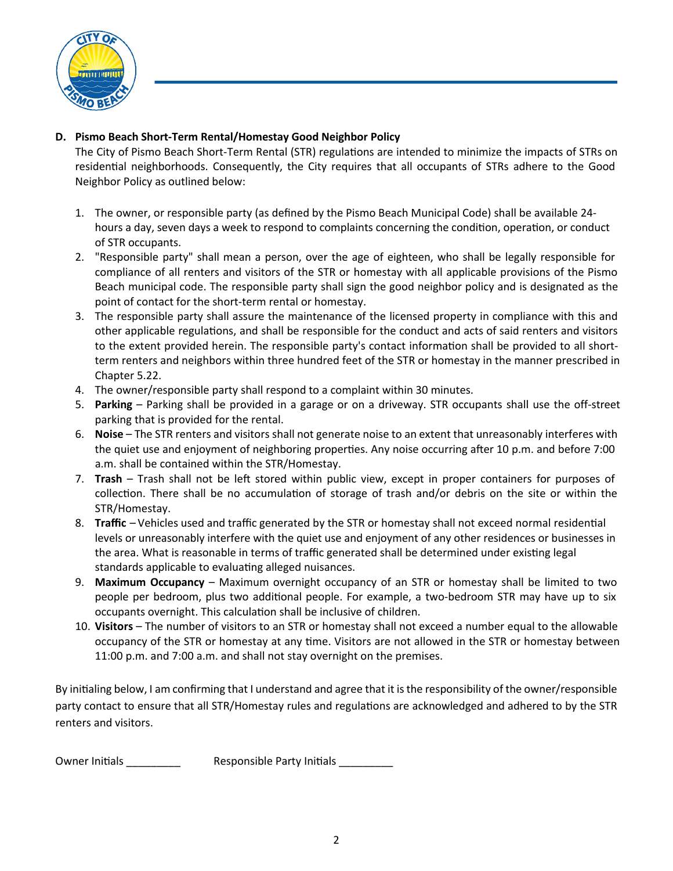

### **D. Pismo Beach Short-Term Rental/Homestay Good Neighbor Policy**

The City of Pismo Beach Short-Term Rental (STR) regulations are intended to minimize the impacts of STRs on residential neighborhoods. Consequently, the City requires that all occupants of STRs adhere to the Good Neighbor Policy as outlined below:

- 1. The owner, or responsible party (as defined by the Pismo Beach Municipal Code) shall be available 24 hours a day, seven days a week to respond to complaints concerning the condition, operation, or conduct of STR occupants.
- 2. "Responsible party" shall mean a person, over the age of eighteen, who shall be legally responsible for compliance of all renters and visitors of the STR or homestay with all applicable provisions of the Pismo Beach municipal code. The responsible party shall sign the good neighbor policy and is designated as the point of contact for the short-term rental or homestay.
- 3. The responsible party shall assure the maintenance of the licensed property in compliance with this and other applicable regulations, and shall be responsible for the conduct and acts of said renters and visitors to the extent provided herein. The responsible party's contact information shall be provided to all shortterm renters and neighbors within three hundred feet of the STR or homestay in the manner prescribed in Chapter 5.22.
- 4. The owner/responsible party shall respond to a complaint within 30 minutes.
- 5. **Parking** Parking shall be provided in a garage or on a driveway. STR occupants shall use the off-street parking that is provided for the rental.
- 6. **Noise** The STR renters and visitors shall not generate noise to an extent that unreasonably interferes with the quiet use and enjoyment of neighboring properties. Any noise occurring after 10 p.m. and before 7:00 a.m. shall be contained within the STR/Homestay.
- 7. **Trash** Trash shall not be left stored within public view, except in proper containers for purposes of collection. There shall be no accumulation of storage of trash and/or debris on the site or within the STR/Homestay.
- 8. **Traffic** Vehicles used and traffic generated by the STR or homestay shall not exceed normal residential levels or unreasonably interfere with the quiet use and enjoyment of any other residences or businesses in the area. What is reasonable in terms of traffic generated shall be determined under existing legal standards applicable to evaluating alleged nuisances.
- 9. **Maximum Occupancy** Maximum overnight occupancy of an STR or homestay shall be limited to two people per bedroom, plus two addi�onal people. For example, a two-bedroom STR may have up to six occupants overnight. This calculation shall be inclusive of children.
- 10. **Visitors** The number of visitors to an STR or homestay shall not exceed a number equal to the allowable occupancy of the STR or homestay at any time. Visitors are not allowed in the STR or homestay between 11:00 p.m. and 7:00 a.m. and shall not stay overnight on the premises.

By initialing below, I am confirming that I understand and agree that it is the responsibility of the owner/responsible party contact to ensure that all STR/Homestay rules and regulations are acknowledged and adhered to by the STR renters and visitors.

Owner Initials \_\_\_\_\_\_\_\_\_\_\_\_\_ Responsible Party Initials \_\_\_\_\_\_\_\_\_